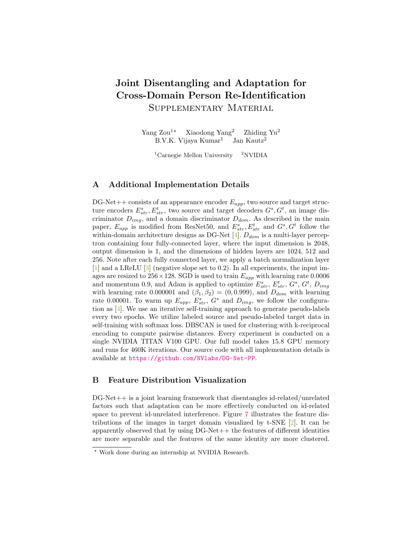# Joint Disentangling and Adaptation for Cross-Domain Person Re-Identification Supplementary Material

Yang Zou<sup>1\*</sup> Xiaodong Yang<sup>2</sup> Zhiding Yu<sup>2</sup>  $B.V.K.$  Vijaya Kumar<sup>1</sup> Jan Kautz<sup>2</sup>

 $1$ Carnegie Mellon University  $2$ NVIDIA

## A Additional Implementation Details

DG-Net + consists of an appearance encoder  $E_{app}$ , two source and target structure encoders  $E_{str}^s$ ,  $E_{str}^t$ , two source and target decoders  $G^s$ ,  $G^t$ , an image discriminator  $D_{img}$ , and a domain discriminator  $D_{dom}$ . As described in the main paper,  $E_{app}$  is modified from ResNet50, and  $E_{str}^s$ ,  $E_{str}^t$  and  $G^s$ ,  $G^t$  follow the within-domain architecture designs as DG-Net  $[4]$ .  $D_{dom}$  is a multi-layer perceptron containing four fully-connected layer, where the input dimension is 2048, output dimension is 1, and the dimensions of hidden layers are 1024, 512 and 256. Note after each fully connected layer, we apply a batch normalization layer [\[1\]](#page-2-1) and a LReLU [\[3\]](#page-2-2) (negative slope set to 0.2). In all experiments, the input images are resized to 256 × 128. SGD is used to train  $E_{app}$  with learning rate 0.0006 and momentum 0.9, and Adam is applied to optimize  $E_{str}^s$ ,  $E_{str}^t$ ,  $G^s$ ,  $G^t$ ,  $D_{img}$ with learning rate 0.000001 and  $(\beta_1, \beta_2) = (0, 0.999)$ , and  $D_{dom}$  with learning rate 0.00001. To warm up  $E_{app}$ ,  $E_{str}^s$ ,  $G^s$  and  $D_{img}$ , we follow the configuration as [\[4\]](#page-2-0). We use an iterative self-training approach to generate pseudo-labels every two epochs. We utilize labeled source and pseudo-labeled target data in self-training with softmax loss. DBSCAN is used for clustering with k-reciprocal encoding to compute pairwise distances. Every experiment is conducted on a single NVIDIA TITAN V100 GPU. Our full model takes 15.8 GPU memory and runs for 460K iterations. Our source code with all implementation details is available at <https://github.com/NVlabs/DG-Net-PP>.

# B Feature Distribution Visualization

DG-Net++ is a joint learning framework that disentangles id-related/unrelated factors such that adaptation can be more effectively conducted on id-related space to prevent id-unrelated interference. Figure [7](#page-1-0) illustrates the feature distributions of the images in target domain visualized by t-SNE [\[2\]](#page-2-3). It can be apparently observed that by using DG-Net++ the features of different identities are more separable and the features of the same identity are more clustered.

<sup>?</sup> Work done during an internship at NVIDIA Research.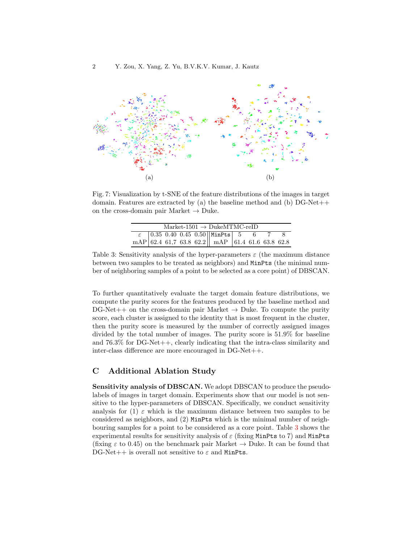<span id="page-1-0"></span>

<span id="page-1-1"></span>Fig. 7: Visualization by t-SNE of the feature distributions of the images in target domain. Features are extracted by (a) the baseline method and (b)  $DG-Net++$ on the cross-domain pair Market  $\rightarrow$  Duke.

| $Market-1501 \rightarrow DukeMTMC-reID$ |  |  |  |  |  |  |  |  |  |  |
|-----------------------------------------|--|--|--|--|--|--|--|--|--|--|
|                                         |  |  |  |  |  |  |  |  |  |  |
|                                         |  |  |  |  |  |  |  |  |  |  |

Table 3: Sensitivity analysis of the hyper-parameters  $\varepsilon$  (the maximum distance between two samples to be treated as neighbors) and MinPts (the minimal number of neighboring samples of a point to be selected as a core point) of DBSCAN.

To further quantitatively evaluate the target domain feature distributions, we compute the purity scores for the features produced by the baseline method and  $DG-Net++$  on the cross-domain pair Market  $\rightarrow$  Duke. To compute the purity score, each cluster is assigned to the identity that is most frequent in the cluster, then the purity score is measured by the number of correctly assigned images divided by the total number of images. The purity score is 51.9% for baseline and 76.3% for DG-Net++, clearly indicating that the intra-class similarity and inter-class difference are more encouraged in DG-Net++.

#### C Additional Ablation Study

Sensitivity analysis of DBSCAN. We adopt DBSCAN to produce the pseudolabels of images in target domain. Experiments show that our model is not sensitive to the hyper-parameters of DBSCAN. Specifically, we conduct sensitivity analysis for (1)  $\varepsilon$  which is the maximum distance between two samples to be considered as neighbors, and (2) MinPts which is the minimal number of neighbouring samples for a point to be considered as a core point. Table [3](#page-1-1) shows the experimental results for sensitivity analysis of  $\varepsilon$  (fixing MinPts to 7) and MinPts (fixing  $\varepsilon$  to 0.45) on the benchmark pair Market  $\rightarrow$  Duke. It can be found that  $DG-Net++$  is overall not sensitive to  $\varepsilon$  and MinPts.